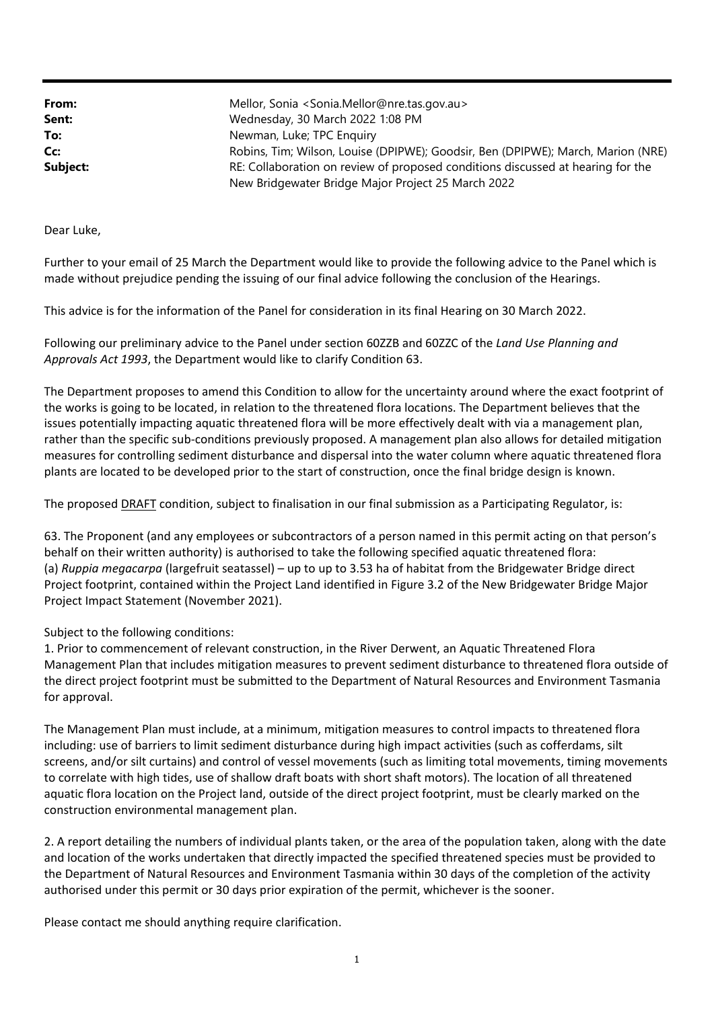| From:    | Mellor, Sonia <sonia.mellor@nre.tas.gov.au></sonia.mellor@nre.tas.gov.au>        |
|----------|----------------------------------------------------------------------------------|
| Sent:    | Wednesday, 30 March 2022 1:08 PM                                                 |
| To:      | Newman, Luke; TPC Enquiry                                                        |
| Cc:      | Robins, Tim; Wilson, Louise (DPIPWE); Goodsir, Ben (DPIPWE); March, Marion (NRE) |
| Subject: | RE: Collaboration on review of proposed conditions discussed at hearing for the  |
|          | New Bridgewater Bridge Major Project 25 March 2022                               |

Dear Luke,

Further to your email of 25 March the Department would like to provide the following advice to the Panel which is made without prejudice pending the issuing of our final advice following the conclusion of the Hearings.

This advice is for the information of the Panel for consideration in its final Hearing on 30 March 2022.

Following our preliminary advice to the Panel under section 60ZZB and 60ZZC of the *Land Use Planning and Approvals Act 1993*, the Department would like to clarify Condition 63.

The Department proposes to amend this Condition to allow for the uncertainty around where the exact footprint of the works is going to be located, in relation to the threatened flora locations. The Department believes that the issues potentially impacting aquatic threatened flora will be more effectively dealt with via a management plan, rather than the specific sub‐conditions previously proposed. A management plan also allows for detailed mitigation measures for controlling sediment disturbance and dispersal into the water column where aquatic threatened flora plants are located to be developed prior to the start of construction, once the final bridge design is known.

The proposed DRAFT condition, subject to finalisation in our final submission as a Participating Regulator, is:

63. The Proponent (and any employees or subcontractors of a person named in this permit acting on that person's behalf on their written authority) is authorised to take the following specified aquatic threatened flora: (a) *Ruppia megacarpa* (largefruit seatassel) – up to up to 3.53 ha of habitat from the Bridgewater Bridge direct Project footprint, contained within the Project Land identified in Figure 3.2 of the New Bridgewater Bridge Major Project Impact Statement (November 2021).

Subject to the following conditions:

1. Prior to commencement of relevant construction, in the River Derwent, an Aquatic Threatened Flora Management Plan that includes mitigation measures to prevent sediment disturbance to threatened flora outside of the direct project footprint must be submitted to the Department of Natural Resources and Environment Tasmania for approval.

The Management Plan must include, at a minimum, mitigation measures to control impacts to threatened flora including: use of barriers to limit sediment disturbance during high impact activities (such as cofferdams, silt screens, and/or silt curtains) and control of vessel movements (such as limiting total movements, timing movements to correlate with high tides, use of shallow draft boats with short shaft motors). The location of all threatened aquatic flora location on the Project land, outside of the direct project footprint, must be clearly marked on the construction environmental management plan.

2. A report detailing the numbers of individual plants taken, or the area of the population taken, along with the date and location of the works undertaken that directly impacted the specified threatened species must be provided to the Department of Natural Resources and Environment Tasmania within 30 days of the completion of the activity authorised under this permit or 30 days prior expiration of the permit, whichever is the sooner.

Please contact me should anything require clarification.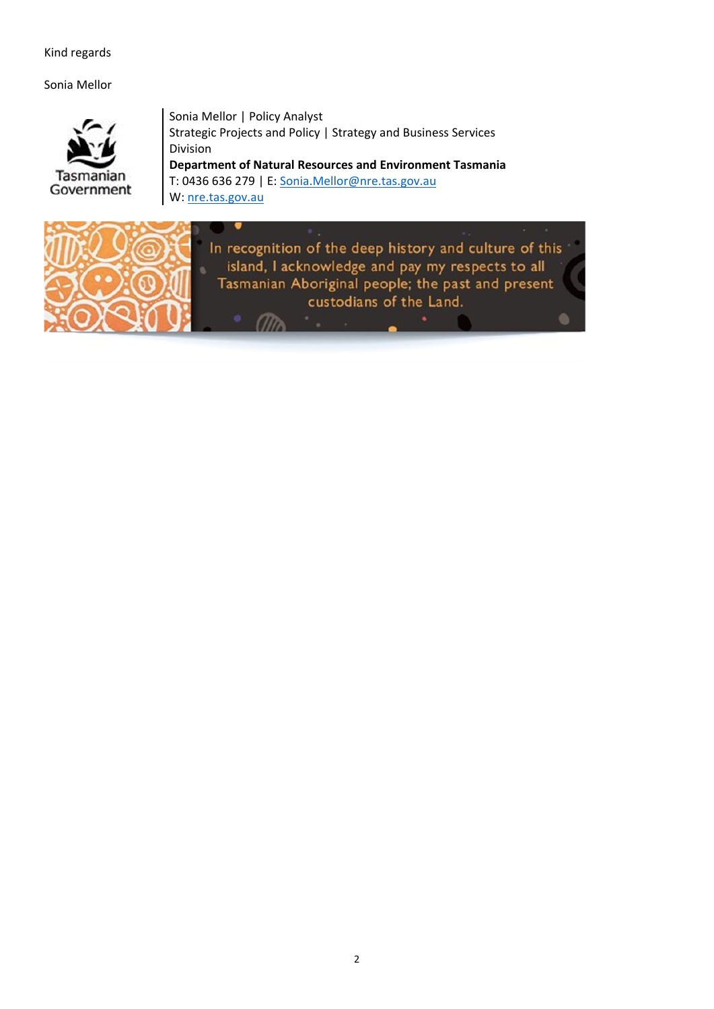## Kind regards

Sonia Mellor



Sonia Mellor | Policy Analyst Strategic Projects and Policy | Strategy and Business Services Division **Department of Natural Resources and Environment Tasmania** T: 0436 636 279 | E: Sonia.Mellor@nre.tas.gov.au W: nre.tas.gov.au

 $m$ 



In recognition of the deep history and culture of this island, I acknowledge and pay my respects to all Tasmanian Aboriginal people; the past and present custodians of the Land.